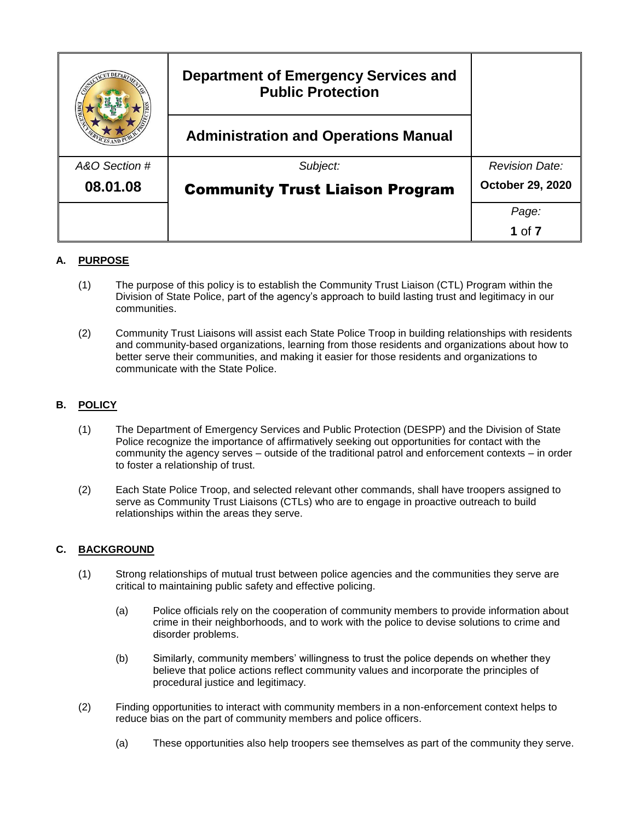|               | <b>Department of Emergency Services and</b><br><b>Public Protection</b> |                       |
|---------------|-------------------------------------------------------------------------|-----------------------|
|               | <b>Administration and Operations Manual</b>                             |                       |
| A&O Section # | Subject:                                                                | <b>Revision Date:</b> |
| 08.01.08      | <b>Community Trust Liaison Program</b>                                  | October 29, 2020      |
|               |                                                                         | Page:                 |
|               |                                                                         | 1 of $7$              |

# **A. PURPOSE**

- (1) The purpose of this policy is to establish the Community Trust Liaison (CTL) Program within the Division of State Police, part of the agency's approach to build lasting trust and legitimacy in our communities.
- (2) Community Trust Liaisons will assist each State Police Troop in building relationships with residents and community-based organizations, learning from those residents and organizations about how to better serve their communities, and making it easier for those residents and organizations to communicate with the State Police.

## **B. POLICY**

- (1) The Department of Emergency Services and Public Protection (DESPP) and the Division of State Police recognize the importance of affirmatively seeking out opportunities for contact with the community the agency serves – outside of the traditional patrol and enforcement contexts – in order to foster a relationship of trust.
- (2) Each State Police Troop, and selected relevant other commands, shall have troopers assigned to serve as Community Trust Liaisons (CTLs) who are to engage in proactive outreach to build relationships within the areas they serve.

## **C. BACKGROUND**

- (1) Strong relationships of mutual trust between police agencies and the communities they serve are critical to maintaining public safety and effective policing.
	- (a) Police officials rely on the cooperation of community members to provide information about crime in their neighborhoods, and to work with the police to devise solutions to crime and disorder problems.
	- (b) Similarly, community members' willingness to trust the police depends on whether they believe that police actions reflect community values and incorporate the principles of procedural justice and legitimacy.
- (2) Finding opportunities to interact with community members in a non-enforcement context helps to reduce bias on the part of community members and police officers.
	- (a) These opportunities also help troopers see themselves as part of the community they serve.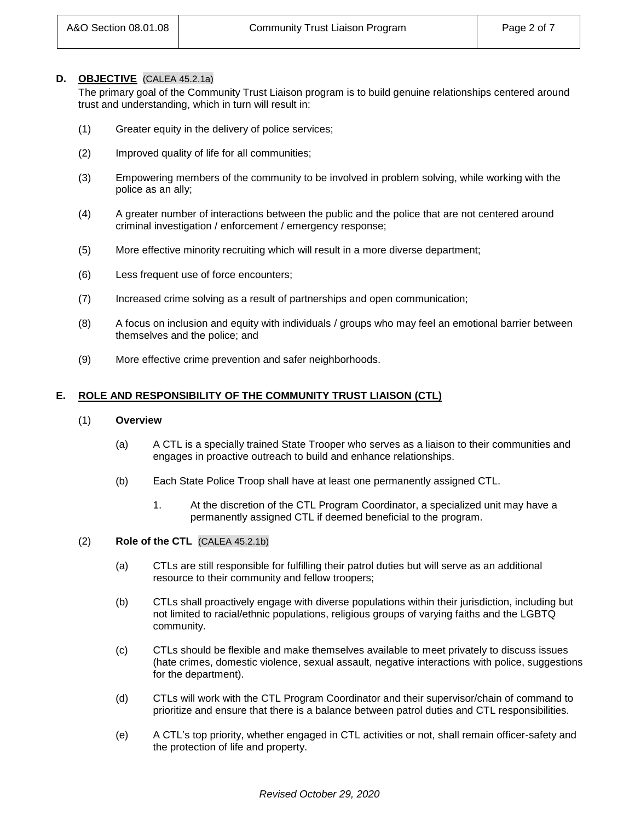#### **D. OBJECTIVE** (CALEA 45.2.1a)

The primary goal of the Community Trust Liaison program is to build genuine relationships centered around trust and understanding, which in turn will result in:

- (1) Greater equity in the delivery of police services;
- (2) Improved quality of life for all communities;
- (3) Empowering members of the community to be involved in problem solving, while working with the police as an ally;
- (4) A greater number of interactions between the public and the police that are not centered around criminal investigation / enforcement / emergency response;
- (5) More effective minority recruiting which will result in a more diverse department;
- (6) Less frequent use of force encounters;
- (7) Increased crime solving as a result of partnerships and open communication;
- (8) A focus on inclusion and equity with individuals / groups who may feel an emotional barrier between themselves and the police; and
- (9) More effective crime prevention and safer neighborhoods.

### **E. ROLE AND RESPONSIBILITY OF THE COMMUNITY TRUST LIAISON (CTL)**

#### (1) **Overview**

- (a) A CTL is a specially trained State Trooper who serves as a liaison to their communities and engages in proactive outreach to build and enhance relationships.
- (b) Each State Police Troop shall have at least one permanently assigned CTL.
	- 1. At the discretion of the CTL Program Coordinator, a specialized unit may have a permanently assigned CTL if deemed beneficial to the program.
- (2) **Role of the CTL** (CALEA 45.2.1b)
	- (a) CTLs are still responsible for fulfilling their patrol duties but will serve as an additional resource to their community and fellow troopers;
	- (b) CTLs shall proactively engage with diverse populations within their jurisdiction, including but not limited to racial/ethnic populations, religious groups of varying faiths and the LGBTQ community.
	- (c) CTLs should be flexible and make themselves available to meet privately to discuss issues (hate crimes, domestic violence, sexual assault, negative interactions with police, suggestions for the department).
	- (d) CTLs will work with the CTL Program Coordinator and their supervisor/chain of command to prioritize and ensure that there is a balance between patrol duties and CTL responsibilities.
	- (e) A CTL's top priority, whether engaged in CTL activities or not, shall remain officer-safety and the protection of life and property.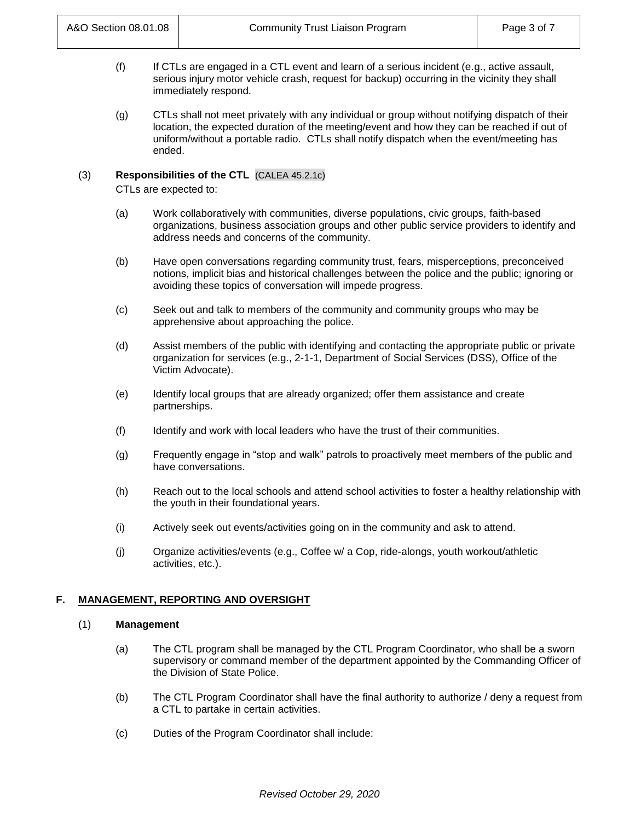- (f) If CTLs are engaged in a CTL event and learn of a serious incident (e.g., active assault, serious injury motor vehicle crash, request for backup) occurring in the vicinity they shall immediately respond.
- (g) CTLs shall not meet privately with any individual or group without notifying dispatch of their location, the expected duration of the meeting/event and how they can be reached if out of uniform/without a portable radio. CTLs shall notify dispatch when the event/meeting has ended.

### (3) **Responsibilities of the CTL** (CALEA 45.2.1c)

CTLs are expected to:

- (a) Work collaboratively with communities, diverse populations, civic groups, faith-based organizations, business association groups and other public service providers to identify and address needs and concerns of the community.
- (b) Have open conversations regarding community trust, fears, misperceptions, preconceived notions, implicit bias and historical challenges between the police and the public; ignoring or avoiding these topics of conversation will impede progress.
- (c) Seek out and talk to members of the community and community groups who may be apprehensive about approaching the police.
- (d) Assist members of the public with identifying and contacting the appropriate public or private organization for services (e.g., 2-1-1, Department of Social Services (DSS), Office of the Victim Advocate).
- (e) Identify local groups that are already organized; offer them assistance and create partnerships.
- (f) Identify and work with local leaders who have the trust of their communities.
- (g) Frequently engage in "stop and walk" patrols to proactively meet members of the public and have conversations.
- (h) Reach out to the local schools and attend school activities to foster a healthy relationship with the youth in their foundational years.
- (i) Actively seek out events/activities going on in the community and ask to attend.
- (j) Organize activities/events (e.g., Coffee w/ a Cop, ride-alongs, youth workout/athletic activities, etc.).

## **F. MANAGEMENT, REPORTING AND OVERSIGHT**

#### (1) **Management**

- (a) The CTL program shall be managed by the CTL Program Coordinator, who shall be a sworn supervisory or command member of the department appointed by the Commanding Officer of the Division of State Police.
- (b) The CTL Program Coordinator shall have the final authority to authorize / deny a request from a CTL to partake in certain activities.
- (c) Duties of the Program Coordinator shall include: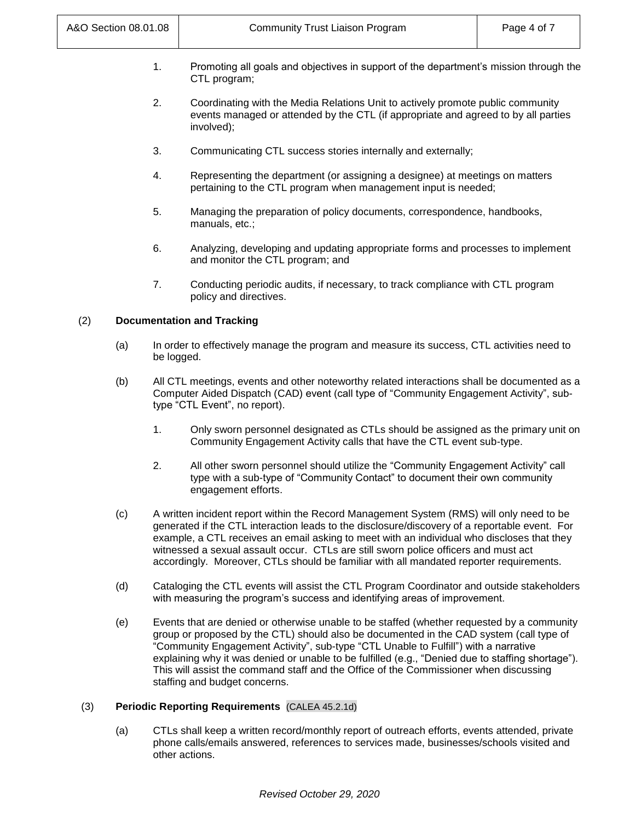- 1. Promoting all goals and objectives in support of the department's mission through the CTL program;
- 2. Coordinating with the Media Relations Unit to actively promote public community events managed or attended by the CTL (if appropriate and agreed to by all parties involved);
- 3. Communicating CTL success stories internally and externally;
- 4. Representing the department (or assigning a designee) at meetings on matters pertaining to the CTL program when management input is needed;
- 5. Managing the preparation of policy documents, correspondence, handbooks, manuals, etc.;
- 6. Analyzing, developing and updating appropriate forms and processes to implement and monitor the CTL program; and
- 7. Conducting periodic audits, if necessary, to track compliance with CTL program policy and directives.

## (2) **Documentation and Tracking**

- (a) In order to effectively manage the program and measure its success, CTL activities need to be logged.
- (b) All CTL meetings, events and other noteworthy related interactions shall be documented as a Computer Aided Dispatch (CAD) event (call type of "Community Engagement Activity", subtype "CTL Event", no report).
	- 1. Only sworn personnel designated as CTLs should be assigned as the primary unit on Community Engagement Activity calls that have the CTL event sub-type.
	- 2. All other sworn personnel should utilize the "Community Engagement Activity" call type with a sub-type of "Community Contact" to document their own community engagement efforts.
- (c) A written incident report within the Record Management System (RMS) will only need to be generated if the CTL interaction leads to the disclosure/discovery of a reportable event. For example, a CTL receives an email asking to meet with an individual who discloses that they witnessed a sexual assault occur. CTLs are still sworn police officers and must act accordingly. Moreover, CTLs should be familiar with all mandated reporter requirements.
- (d) Cataloging the CTL events will assist the CTL Program Coordinator and outside stakeholders with measuring the program's success and identifying areas of improvement.
- (e) Events that are denied or otherwise unable to be staffed (whether requested by a community group or proposed by the CTL) should also be documented in the CAD system (call type of "Community Engagement Activity", sub-type "CTL Unable to Fulfill") with a narrative explaining why it was denied or unable to be fulfilled (e.g., "Denied due to staffing shortage"). This will assist the command staff and the Office of the Commissioner when discussing staffing and budget concerns.

## (3) **Periodic Reporting Requirements** (CALEA 45.2.1d)

(a) CTLs shall keep a written record/monthly report of outreach efforts, events attended, private phone calls/emails answered, references to services made, businesses/schools visited and other actions.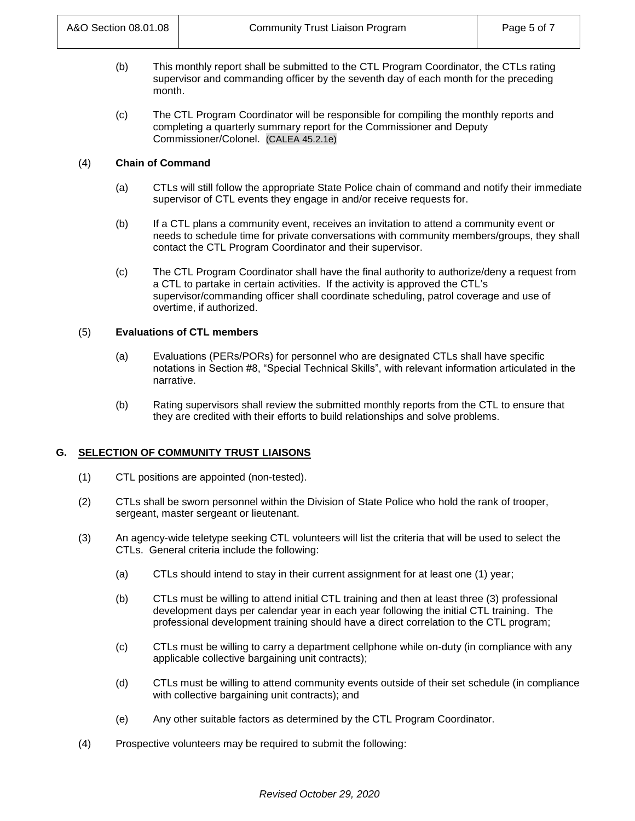- (b) This monthly report shall be submitted to the CTL Program Coordinator, the CTLs rating supervisor and commanding officer by the seventh day of each month for the preceding month.
- (c) The CTL Program Coordinator will be responsible for compiling the monthly reports and completing a quarterly summary report for the Commissioner and Deputy Commissioner/Colonel. (CALEA 45.2.1e)

## (4) **Chain of Command**

- (a) CTLs will still follow the appropriate State Police chain of command and notify their immediate supervisor of CTL events they engage in and/or receive requests for.
- (b) If a CTL plans a community event, receives an invitation to attend a community event or needs to schedule time for private conversations with community members/groups, they shall contact the CTL Program Coordinator and their supervisor.
- (c) The CTL Program Coordinator shall have the final authority to authorize/deny a request from a CTL to partake in certain activities. If the activity is approved the CTL's supervisor/commanding officer shall coordinate scheduling, patrol coverage and use of overtime, if authorized.

### (5) **Evaluations of CTL members**

- (a) Evaluations (PERs/PORs) for personnel who are designated CTLs shall have specific notations in Section #8, "Special Technical Skills", with relevant information articulated in the narrative.
- (b) Rating supervisors shall review the submitted monthly reports from the CTL to ensure that they are credited with their efforts to build relationships and solve problems.

## **G. SELECTION OF COMMUNITY TRUST LIAISONS**

- (1) CTL positions are appointed (non-tested).
- (2) CTLs shall be sworn personnel within the Division of State Police who hold the rank of trooper, sergeant, master sergeant or lieutenant.
- (3) An agency-wide teletype seeking CTL volunteers will list the criteria that will be used to select the CTLs. General criteria include the following:
	- (a) CTLs should intend to stay in their current assignment for at least one (1) year;
	- (b) CTLs must be willing to attend initial CTL training and then at least three (3) professional development days per calendar year in each year following the initial CTL training. The professional development training should have a direct correlation to the CTL program;
	- (c) CTLs must be willing to carry a department cellphone while on-duty (in compliance with any applicable collective bargaining unit contracts);
	- (d) CTLs must be willing to attend community events outside of their set schedule (in compliance with collective bargaining unit contracts); and
	- (e) Any other suitable factors as determined by the CTL Program Coordinator.
- (4) Prospective volunteers may be required to submit the following: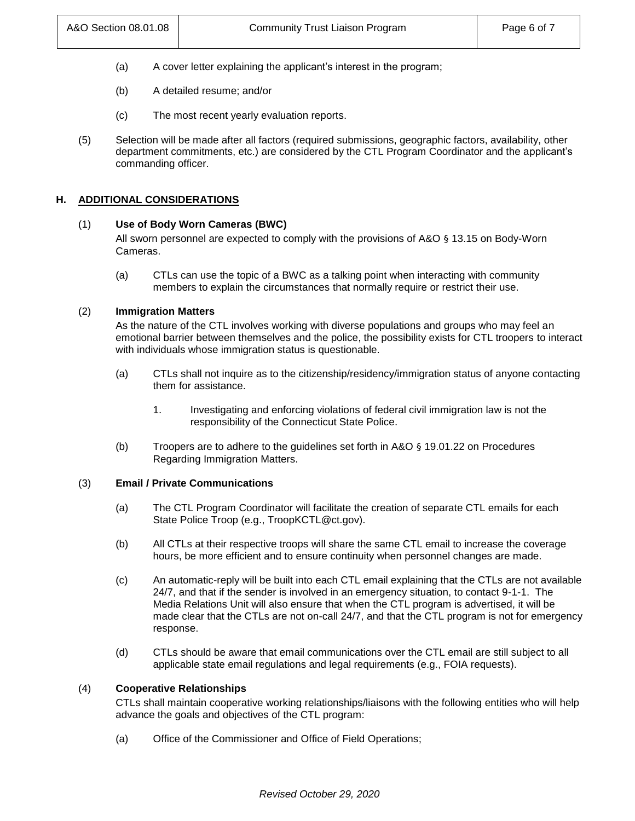- (a) A cover letter explaining the applicant's interest in the program;
- (b) A detailed resume; and/or
- (c) The most recent yearly evaluation reports.
- (5) Selection will be made after all factors (required submissions, geographic factors, availability, other department commitments, etc.) are considered by the CTL Program Coordinator and the applicant's commanding officer.

### **H. ADDITIONAL CONSIDERATIONS**

### (1) **Use of Body Worn Cameras (BWC)**

All sworn personnel are expected to comply with the provisions of A&O § 13.15 on Body-Worn Cameras.

(a) CTLs can use the topic of a BWC as a talking point when interacting with community members to explain the circumstances that normally require or restrict their use.

### (2) **Immigration Matters**

As the nature of the CTL involves working with diverse populations and groups who may feel an emotional barrier between themselves and the police, the possibility exists for CTL troopers to interact with individuals whose immigration status is questionable.

- (a) CTLs shall not inquire as to the citizenship/residency/immigration status of anyone contacting them for assistance.
	- 1. Investigating and enforcing violations of federal civil immigration law is not the responsibility of the Connecticut State Police.
- (b) Troopers are to adhere to the guidelines set forth in A&O § 19.01.22 on Procedures Regarding Immigration Matters.

#### (3) **Email / Private Communications**

- (a) The CTL Program Coordinator will facilitate the creation of separate CTL emails for each State Police Troop (e.g., TroopKCTL@ct.gov).
- (b) All CTLs at their respective troops will share the same CTL email to increase the coverage hours, be more efficient and to ensure continuity when personnel changes are made.
- (c) An automatic-reply will be built into each CTL email explaining that the CTLs are not available 24/7, and that if the sender is involved in an emergency situation, to contact 9-1-1. The Media Relations Unit will also ensure that when the CTL program is advertised, it will be made clear that the CTLs are not on-call 24/7, and that the CTL program is not for emergency response.
- (d) CTLs should be aware that email communications over the CTL email are still subject to all applicable state email regulations and legal requirements (e.g., FOIA requests).

#### (4) **Cooperative Relationships**

CTLs shall maintain cooperative working relationships/liaisons with the following entities who will help advance the goals and objectives of the CTL program:

(a) Office of the Commissioner and Office of Field Operations;